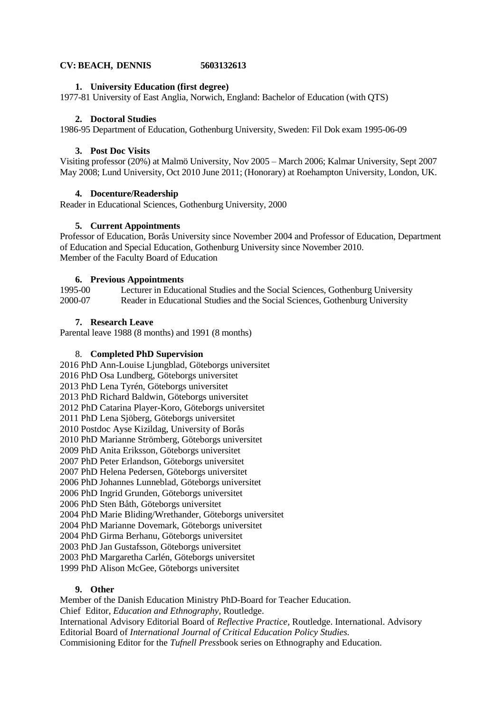## **CV: BEACH, DENNIS 5603132613**

### **1. University Education (first degree)**

1977-81 University of East Anglia, Norwich, England: Bachelor of Education (with QTS)

### **2. Doctoral Studies**

1986-95 Department of Education, Gothenburg University, Sweden: Fil Dok exam 1995-06-09

#### **3. Post Doc Visits**

Visiting professor (20%) at Malmö University, Nov 2005 – March 2006; Kalmar University, Sept 2007 May 2008; Lund University, Oct 2010 June 2011; (Honorary) at Roehampton University, London, UK.

#### **4. Docenture/Readership**

Reader in Educational Sciences, Gothenburg University, 2000

#### **5. Current Appointments**

Professor of Education, Borås University since November 2004 and Professor of Education, Department of Education and Special Education, Gothenburg University since November 2010. Member of the Faculty Board of Education

#### **6. Previous Appointments**

1995-00 Lecturer in Educational Studies and the Social Sciences, Gothenburg University 2000-07 Reader in Educational Studies and the Social Sciences, Gothenburg University

#### **7. Research Leave**

Parental leave 1988 (8 months) and 1991 (8 months)

#### 8. **Completed PhD Supervision**

2016 PhD Ann-Louise Ljungblad, Göteborgs universitet 2016 PhD Osa Lundberg, Göteborgs universitet 2013 PhD Lena Tyrén, Göteborgs universitet 2013 PhD Richard Baldwin, Göteborgs universitet 2012 PhD Catarina Player-Koro, Göteborgs universitet 2011 PhD Lena Sjöberg, Göteborgs universitet 2010 Postdoc Ayse Kizildag, University of Borås 2010 PhD Marianne Strömberg, Göteborgs universitet 2009 PhD Anita Eriksson, Göteborgs universitet 2007 PhD Peter Erlandson, Göteborgs universitet 2007 PhD Helena Pedersen, Göteborgs universitet 2006 PhD Johannes Lunneblad, Göteborgs universitet 2006 PhD Ingrid Grunden, Göteborgs universitet 2006 PhD Sten Båth, Göteborgs universitet 2004 PhD Marie Bliding/Wrethander, Göteborgs universitet 2004 PhD Marianne Dovemark, Göteborgs universitet 2004 PhD Girma Berhanu, Göteborgs universitet 2003 PhD Jan Gustafsson, Göteborgs universitet 2003 PhD Margaretha Carlén, Göteborgs universitet 1999 PhD Alison McGee, Göteborgs universitet

# **9. Other**

Member of the Danish Education Ministry PhD-Board for Teacher Education. Chief Editor, *Education and Ethnography,* Routledge. International Advisory Editorial Board of *Reflective Practice,* Routledge. International. Advisory Editorial Board of *International Journal of Critical Education Policy Studies.*  Commisioning Editor for the *Tufnell Press*book series on Ethnography and Education.